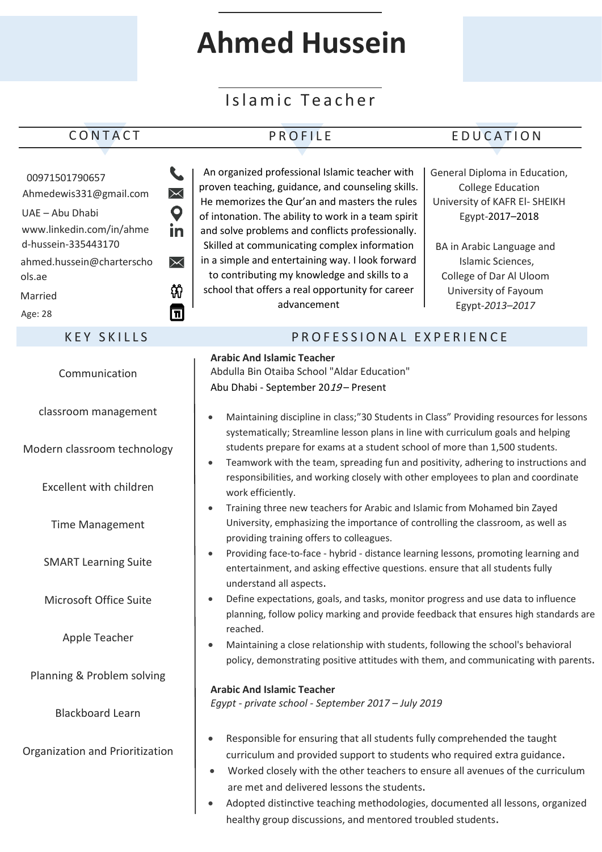# **Ahmed Hussein**

## Islamic Teacher

### CONTACT PROFILE EDUCATION

| 00971501790657<br>Ahmedewis331@gmail.com<br>UAE - Abu Dhabi<br>www.linkedin.com/in/ahme<br>d-hussein-335443170<br>ahmed.hussein@charterscho<br>ols.ae<br>Married<br>Age: 28 | An organized professional Islamic teacher with<br>General Diploma in Education,<br>proven teaching, guidance, and counseling skills.<br><b>College Education</b><br>$\bm{\times}$<br>He memorizes the Qur'an and masters the rules<br>University of KAFR El- SHEIKH<br>$\boldsymbol{\mathsf{Q}}$<br>of intonation. The ability to work in a team spirit<br>Egypt-2017-2018<br>in<br>and solve problems and conflicts professionally.<br>Skilled at communicating complex information<br>BA in Arabic Language and<br>in a simple and entertaining way. I look forward<br>Islamic Sciences,<br>$\times$<br>to contributing my knowledge and skills to a<br>College of Dar Al Uloom<br>Ŵ<br>school that offers a real opportunity for career<br>University of Fayoum<br>advancement<br>Egypt-2013-2017<br>ℿ |
|-----------------------------------------------------------------------------------------------------------------------------------------------------------------------------|-----------------------------------------------------------------------------------------------------------------------------------------------------------------------------------------------------------------------------------------------------------------------------------------------------------------------------------------------------------------------------------------------------------------------------------------------------------------------------------------------------------------------------------------------------------------------------------------------------------------------------------------------------------------------------------------------------------------------------------------------------------------------------------------------------------|
| <b>KEY SKILLS</b>                                                                                                                                                           | PROFESSIONAL EXPERIENCE                                                                                                                                                                                                                                                                                                                                                                                                                                                                                                                                                                                                                                                                                                                                                                                   |
| Communication                                                                                                                                                               | <b>Arabic And Islamic Teacher</b><br>Abdulla Bin Otaiba School "Aldar Education"<br>Abu Dhabi - September 2019 - Present                                                                                                                                                                                                                                                                                                                                                                                                                                                                                                                                                                                                                                                                                  |
| classroom management                                                                                                                                                        | Maintaining discipline in class;"30 Students in Class" Providing resources for lessons<br>$\bullet$<br>systematically; Streamline lesson plans in line with curriculum goals and helping                                                                                                                                                                                                                                                                                                                                                                                                                                                                                                                                                                                                                  |
| Modern classroom technology<br>Excellent with children                                                                                                                      | students prepare for exams at a student school of more than 1,500 students.<br>Teamwork with the team, spreading fun and positivity, adhering to instructions and<br>$\bullet$<br>responsibilities, and working closely with other employees to plan and coordinate                                                                                                                                                                                                                                                                                                                                                                                                                                                                                                                                       |
| <b>Time Management</b>                                                                                                                                                      | work efficiently.<br>Training three new teachers for Arabic and Islamic from Mohamed bin Zayed<br>$\bullet$<br>University, emphasizing the importance of controlling the classroom, as well as<br>providing training offers to colleagues.                                                                                                                                                                                                                                                                                                                                                                                                                                                                                                                                                                |
| <b>SMART Learning Suite</b>                                                                                                                                                 | Providing face-to-face - hybrid - distance learning lessons, promoting learning and<br>$\bullet$<br>entertainment, and asking effective questions. ensure that all students fully<br>understand all aspects.                                                                                                                                                                                                                                                                                                                                                                                                                                                                                                                                                                                              |
| Microsoft Office Suite                                                                                                                                                      | Define expectations, goals, and tasks, monitor progress and use data to influence<br>$\bullet$<br>planning, follow policy marking and provide feedback that ensures high standards are<br>reached.                                                                                                                                                                                                                                                                                                                                                                                                                                                                                                                                                                                                        |
| Apple Teacher                                                                                                                                                               | Maintaining a close relationship with students, following the school's behavioral<br>$\bullet$<br>policy, demonstrating positive attitudes with them, and communicating with parents.                                                                                                                                                                                                                                                                                                                                                                                                                                                                                                                                                                                                                     |
| Planning & Problem solving                                                                                                                                                  | <b>Arabic And Islamic Teacher</b>                                                                                                                                                                                                                                                                                                                                                                                                                                                                                                                                                                                                                                                                                                                                                                         |
| <b>Blackboard Learn</b>                                                                                                                                                     | Egypt - private school - September 2017 - July 2019                                                                                                                                                                                                                                                                                                                                                                                                                                                                                                                                                                                                                                                                                                                                                       |
| Organization and Prioritization                                                                                                                                             | Responsible for ensuring that all students fully comprehended the taught<br>$\bullet$<br>curriculum and provided support to students who required extra guidance.<br>Worked closely with the other teachers to ensure all avenues of the curriculum<br>٠<br>are met and delivered lessons the students.<br>Adopted distinctive teaching methodologies, documented all lessons, organized<br>$\bullet$<br>healthy group discussions, and mentored troubled students.                                                                                                                                                                                                                                                                                                                                       |